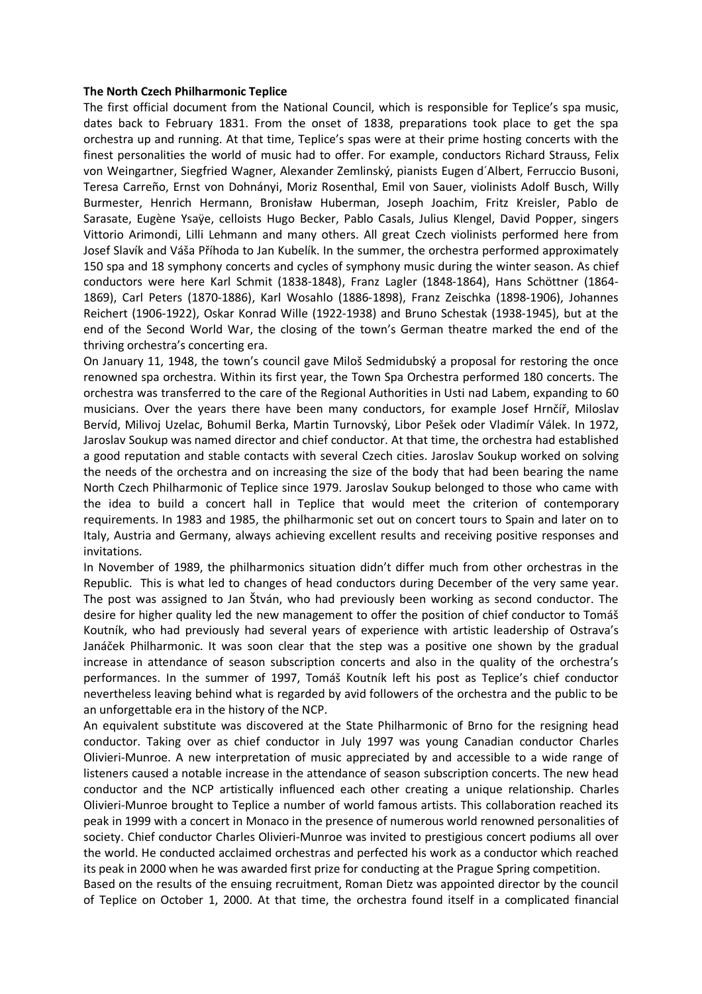## **The North Czech Philharmonic Teplice**

The first official document from the National Council, which is responsible for Teplice's spa music, dates back to February 1831. From the onset of 1838, preparations took place to get the spa orchestra up and running. At that time, Teplice's spas were at their prime hosting concerts with the finest personalities the world of music had to offer. For example, conductors Richard Strauss, Felix von Weingartner, Siegfried Wagner, Alexander Zemlinský, pianists Eugen d´Albert, Ferruccio Busoni, Teresa Carreño, Ernst von Dohnányi, Moriz Rosenthal, Emil von Sauer, violinists Adolf Busch, Willy Burmester, Henrich Hermann, Bronisław Huberman, Joseph Joachim, Fritz Kreisler, Pablo de Sarasate, Eugène Ysaӱe, celloists Hugo Becker, Pablo Casals, Julius Klengel, David Popper, singers Vittorio Arimondi, Lilli Lehmann and many others. All great Czech violinists performed here from Josef Slavík and Váša Příhoda to Jan Kubelík. In the summer, the orchestra performed approximately 150 spa and 18 symphony concerts and cycles of symphony music during the winter season. As chief conductors were here Karl Schmit (1838-1848), Franz Lagler (1848-1864), Hans Schöttner (1864- 1869), Carl Peters (1870-1886), Karl Wosahlo (1886-1898), Franz Zeischka (1898-1906), Johannes Reichert (1906-1922), Oskar Konrad Wille (1922-1938) and Bruno Schestak (1938-1945), but at the end of the Second World War, the closing of the town's German theatre marked the end of the thriving orchestra's concerting era.

On January 11, 1948, the town's council gave Miloš Sedmidubský a proposal for restoring the once renowned spa orchestra. Within its first year, the Town Spa Orchestra performed 180 concerts. The orchestra was transferred to the care of the Regional Authorities in Usti nad Labem, expanding to 60 musicians. Over the years there have been many conductors, for example Josef Hrnčíř, Miloslav Bervíd, Milivoj Uzelac, Bohumil Berka, Martin Turnovský, Libor Pešek oder Vladimír Válek. In 1972, Jaroslav Soukup was named director and chief conductor. At that time, the orchestra had established a good reputation and stable contacts with several Czech cities. Jaroslav Soukup worked on solving the needs of the orchestra and on increasing the size of the body that had been bearing the name North Czech Philharmonic of Teplice since 1979. Jaroslav Soukup belonged to those who came with the idea to build a concert hall in Teplice that would meet the criterion of contemporary requirements. In 1983 and 1985, the philharmonic set out on concert tours to Spain and later on to Italy, Austria and Germany, always achieving excellent results and receiving positive responses and invitations.

In November of 1989, the philharmonics situation didn't differ much from other orchestras in the Republic. This is what led to changes of head conductors during December of the very same year. The post was assigned to Jan Štván, who had previously been working as second conductor. The desire for higher quality led the new management to offer the position of chief conductor to Tomáš Koutník, who had previously had several years of experience with artistic leadership of Ostrava's Janáček Philharmonic. It was soon clear that the step was a positive one shown by the gradual increase in attendance of season subscription concerts and also in the quality of the orchestra's performances. In the summer of 1997, Tomáš Koutník left his post as Teplice's chief conductor nevertheless leaving behind what is regarded by avid followers of the orchestra and the public to be an unforgettable era in the history of the NCP.

An equivalent substitute was discovered at the State Philharmonic of Brno for the resigning head conductor. Taking over as chief conductor in July 1997 was young Canadian conductor Charles Olivieri-Munroe. A new interpretation of music appreciated by and accessible to a wide range of listeners caused a notable increase in the attendance of season subscription concerts. The new head conductor and the NCP artistically influenced each other creating a unique relationship. Charles Olivieri-Munroe brought to Teplice a number of world famous artists. This collaboration reached its peak in 1999 with a concert in Monaco in the presence of numerous world renowned personalities of society. Chief conductor Charles Olivieri-Munroe was invited to prestigious concert podiums all over the world. He conducted acclaimed orchestras and perfected his work as a conductor which reached its peak in 2000 when he was awarded first prize for conducting at the Prague Spring competition.

Based on the results of the ensuing recruitment, Roman Dietz was appointed director by the council of Teplice on October 1, 2000. At that time, the orchestra found itself in a complicated financial